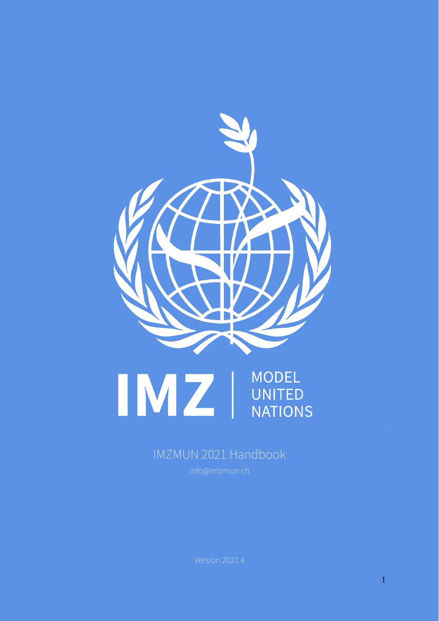



# IMZMUN 2021 Handbook

Version 2021.4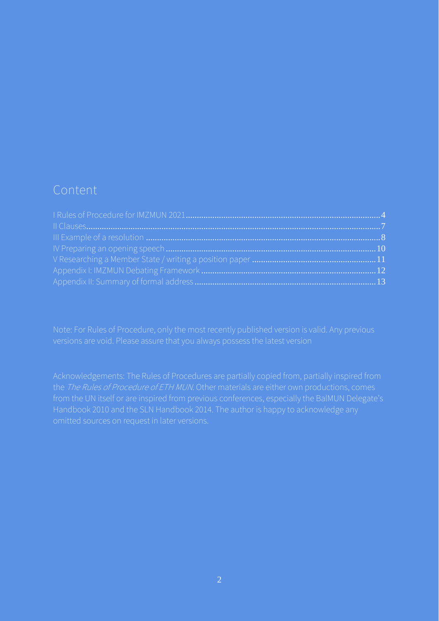### Content

Acknowledgements: The Rules of Procedures are partially copied from, partially inspired from from the UN itself or are inspired from previous conferences, especially the BalMUN Delegate's Handbook 2010 and the SLN Handbook 2014. The author is happy to acknowledge any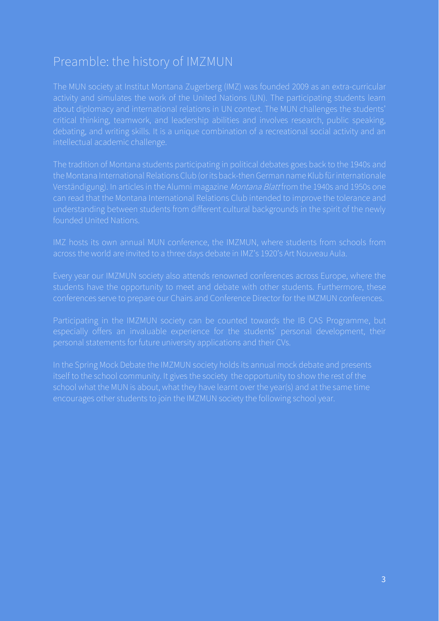# Preamble: the history of IMZMUN

The MUN society at Institut Montana Zugerberg (IMZ) was founded 2009 as an extra-curricular about diplomacy and international relations in UN context. The MUN challenges the students' critical thinking, teamwork, and leadership abilities and involves research, public speaking, intellectual academic challenge.

The tradition of Montana students participating in political debates goes back to the 1940s and the Montana International Relations Club (or its back-then German name Klub für internationale Verständigung). In articles in the Alumni magazine Montana Blatt from the 1940s and 1950s one can read that the Montana International Relations Club intended to improve the tolerance and understanding between students from different cultural backgrounds in the spirit of the newly founded United Nations.

students have the opportunity to meet and debate with other students. Furthermore, these

Participating in the IMZMUN society can be counted towards the IB CAS Programme, but personal statements for future university applications and their CVs.

itself to the school community. It gives the society the opportunity to show the rest of the encourages other students to join the IMZMUN society the following school year.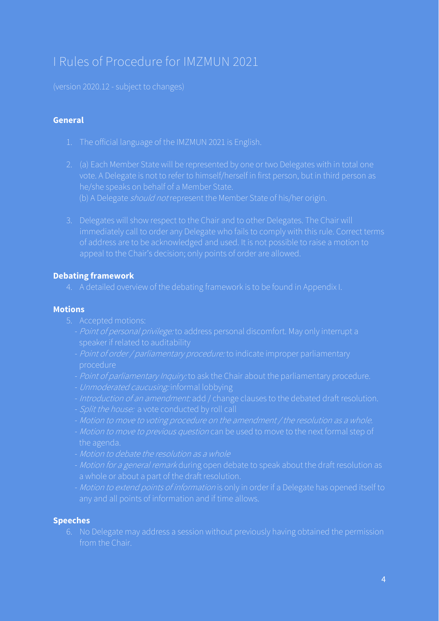# <span id="page-3-0"></span>I Rules of Procedure for IMZMUN 2021

(version 2020.12 - subject to changes)

#### **General**

- 1. The official language of the IMZMUN 2021 is English.
- vote. A Delegate is not to refer to himself/herself in first person, but in third person as
- immediately call to order any Delegate who fails to comply with this rule. Correct terms of address are to be acknowledged and used. It is not possible to raise a motion to appeal to the Chair's decision; only points of order are allowed.

#### **Debating framework**

4. A detailed overview of the debating framework is to be found in AppendixI.

#### **Motions**

- 5. Accepted motions:
	-
	- procedure
	-
	- *Unmoderated caucusing:* informal lobbying
	-
	-
	-
	- the agenda.
	- Motion to debate the resolution as a whole
	-
	- *Motion to extend points of information* is only in order if a Delegate has opened itself to

#### **Speeches**

6. No Delegate may address a session without previously having obtained the permission from the Chair.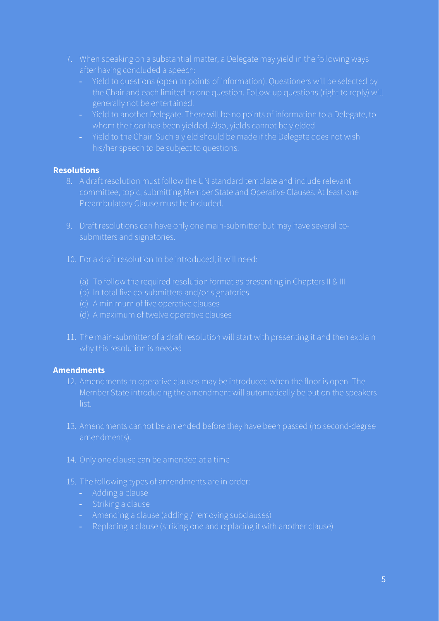- after having concluded a speech:
	- generally not be entertained.
	- whom the floor has been yielded. Also, yields cannot be yielded
	-

### **Resolutions**

- committee, topic, submitting Member State and Operative Clauses. At least one
- 
- 10. For a draft resolution to be introduced, it will need:
	-
	-
	- (c) A minimum of five operative clauses
	-
- 11. The main-submitter of a draft resolution will start with presenting it and then explain

### **Amendments**

- Member State introducing the amendment will automatically be put on the speakers list.
- 13. Amendments cannot be amended before they have been passed (no second-degree amendments).
- 14. Only one clause can be amended at a time
- -
	- Striking a clause
	- Amending a clause (adding / removing subclauses)
	-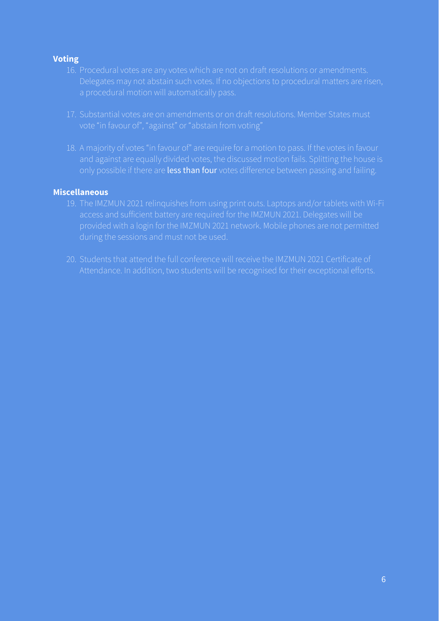### **Voting**

- 16. Procedural votes are any votes which are not on draft resolutions or amendments.
- vote "in favour of", "against" or "abstain from voting"
- and against are equally divided votes, the discussed motion fails. Splitting the house is only possible if there are less than four votes difference between passing and failing.

### **Miscellaneous**

- access and sufficient battery are required for the IMZMUN 2021. Delegates will be
-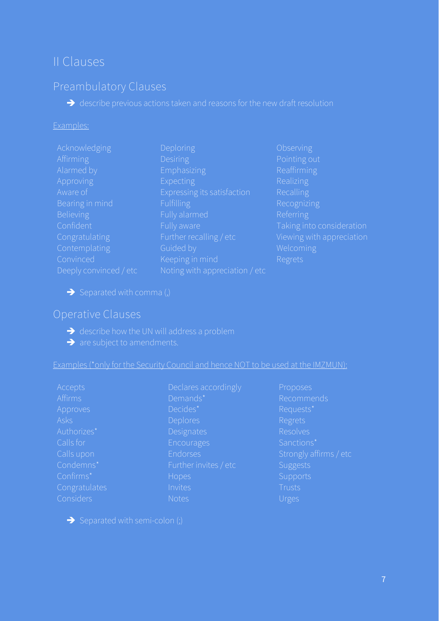# <span id="page-6-0"></span>II Clauses

### Preambulatory Clauses

➔ describe previous actions taken and reasons for the new draft resolution

#### Examples:

| Acknowledging          | Deploring                      | Observing   |
|------------------------|--------------------------------|-------------|
| <b>Affirming</b>       | <b>Desiring</b>                | Pointing ou |
| Alarmed by             | Emphasizing                    | Reaffirming |
| <b>Approving</b>       | Expecting                      | Realizing   |
| Aware of               | Expressing its satisfaction    | Recalling   |
| Bearing in mind        | Fulfilling                     | Recognizing |
| <b>Believing</b>       | Fully alarmed                  | Referring   |
| Confident              | Fully aware                    | Taking into |
| Congratulating         | Further recalling / etc        | Viewing wit |
| Contemplating          | Guided by                      | Welcoming   |
| Convinced              | Keeping in mind                | Regrets     |
| Deeply convinced / etc | Noting with appreciation / etc |             |

 $\rightarrow$  Separated with comma (,)

### Operative Clauses

- $\rightarrow$  describe how the UN will address a problem
- **→** are subject to amendments.

Examples (\*only for the Security Council and hence NOT to be used at the IMZMUN):

| Accepts       | Declares accordingly  |
|---------------|-----------------------|
| Affirms       | Demands*              |
| Approves      | Decides*              |
| Asks          | Deplores              |
| Authorizes*   | Designates            |
| Calls for     | Encourages            |
| Calls upon    | Endorses              |
| Condemns*     | Further invites / etc |
| Confirms*     | Hopes                 |
| Congratulates | Invites               |
| Considers     | <b>Notas</b>          |

Requests\* Regrets Resolves Sanctions<sup>\*</sup> Strongly affirms / etc **Suggests** Urges

 $\rightarrow$  Separated with semi-colon (;)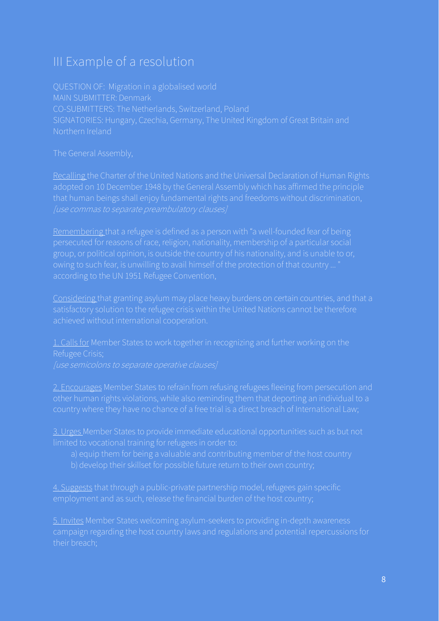# <span id="page-7-0"></span>III Example of a resolution

MAIN SUBMITTER: Denmark SIGNATORIES: Hungary, Czechia, Germany, The United Kingdom of Great Britain and Northern Ireland

Recalling the Charter of the United Nations and the Universal Declaration of Human Rights that human beings shall enjoy fundamental rights and freedoms without discrimination, [use commas to separate preambulatory clauses]

Remembering that a refugee is defined as a person with "a well-founded fear of being persecuted for reasons of race, religion, nationality, membership of a particular social according to the UN 1951 Refugee Convention,

Considering that granting asylum may place heavy burdens on certain countries, and that a satisfactory solution to the refugee crisis within the United Nations cannot be therefore achieved without international cooperation.

1. Calls for Member States to work together in recognizing and further working on the Refugee Crisis;

2. Encourages Member States to refrain from refusing refugees fleeing from persecution and

3. Urges Member States to provide immediate educational opportunities such as but not limited to vocational training for refugees in order to:

- 
- b) develop their skillset for possible future return to their own country;

4. Suggests that through a public-private partnership model, refugees gain specific

5. Invites Member States welcoming asylum-seekers to providing in-depth awareness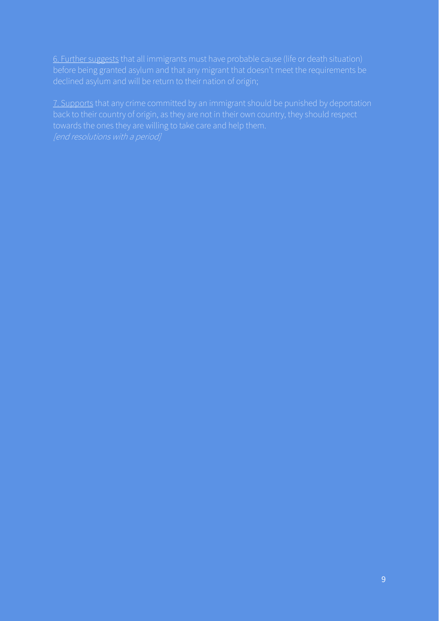6. Further suggests that all immigrants must have probable cause (life or death situation) before being granted asylum and that any migrant that doesn't meet the requirements be

7. Supports that any crime committed by an immigrant should be punished by deportation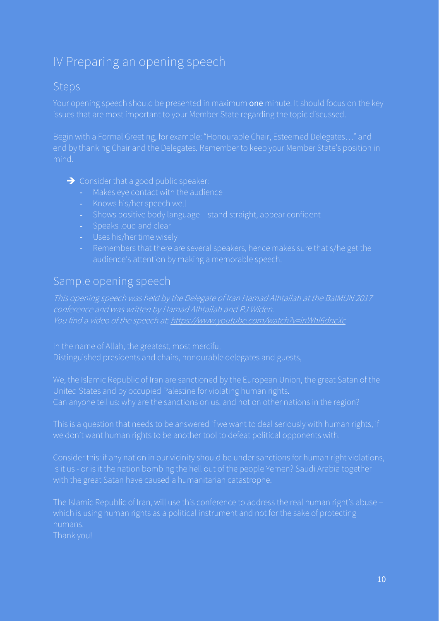# <span id="page-9-0"></span>IV Preparing an opening speech

### Steps

Your opening speech should be presented in maximum one minute. It should focus on the key issues that are most important to your Member State regarding the topic discussed.

end by thanking Chair and the Delegates. Remember to keep your Member State's position in mind.

- ➔ Consider that a good public speaker:
	- Makes eye contact with the audience
	-
	- Shows positive body language stand straight, appear confident
	- Speaks loud and clear
	- Uses his/her time wisely
	- Remembers that there are several speakers, hence makes sure that s/he get the

### Sample opening speech

You find a video of the speech at[: https://www.youtube.com/watch?v=inWhI6dncXc](https://www.youtube.com/watch?v=inWhI6dncXc)

Can anyone tell us: why are the sanctions on us, and not on other nations in the region?

This is a question that needs to be answered if we want to deal seriously with human rights, if

Consider this: if any nation in our vicinity should be under sanctions for human right violations, is it us - or is it the nation bombing the hell out of the people Yemen? Saudi Arabia together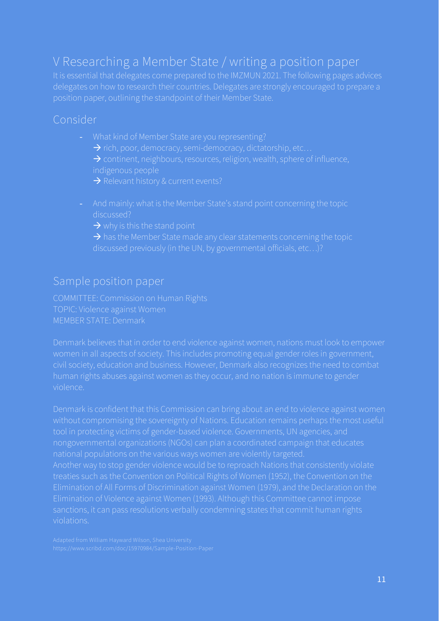# <span id="page-10-0"></span>V Researching a Member State / writing a position paper

It is essential that delegates come prepared to the IMZMUN 2021. The following pages advices delegates on how to research their countries. Delegates are strongly encouraged to prepare a

### Consider

- - $\rightarrow$  rich, poor, democracy, semi-democracy, dictatorship, etc...
	- → continent, neighbours, resources, religion, wealth, sphere of influence, indigenous people
	- $\rightarrow$  Relevant history & current events?
- discussed?
	- $\rightarrow$  why is this the stand point
	- $\rightarrow$  has the Member State made any clear statements concerning the topic

### Sample position paper

TOPIC: Violence against Women MEMBER STATE: Denmark

Denmark believes that in order to end violence against women, nations must look to empower human rights abuses against women as they occur, and no nation is immune to gender violence.

Denmark is confident that this Commission can bring about an end to violence against women tool in protecting victims of gender-based violence. Governments, UN agencies, and nongovernmental organizations (NGOs) can plan a coordinated campaign that educates Another way to stop gender violence would be to reproach Nations that consistently violate treaties such as the Convention on Political Rights of Women (1952), the Convention on the Elimination of All Forms of Discrimination against Women (1979), and the Declaration on the Elimination of Violence against Women (1993). Although this Committee cannot impose violations.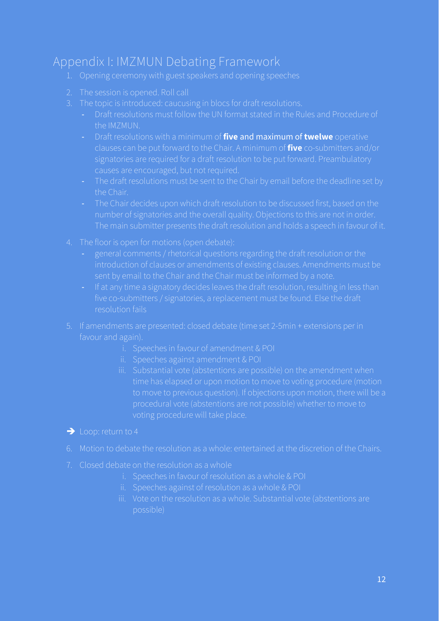# <span id="page-11-0"></span>Appendix I: IMZMUN Debating Framework

- 
- 2. The session is opened. Roll call
- 3. The topic is introduced: caucusing in blocs for draft resolutions.
	- Draft resolutions must follow the UN format stated in the Rules and Procedure of the IMZMUN.
	- Draft resolutions with a minimum of **five** and maximum of **twelwe** operative clauses can be put forward to the Chair. A minimum of **five** co-submitters and/or signatories are required for a draft resolution to be put forward. Preambulatory causes are encouraged, but not required.
	- the Chair.
	- number of signatories and the overall quality. Objections to this are not in order.
- 4. The floor is open for motions (open debate):
	- general comments / rhetorical questions regarding the draft resolution or the introduction of clauses or amendments of existing clauses. Amendments must be
	- If at any time a signatory decides leaves the draft resolution, resulting in less than resolution fails
- favour and again).
	- i. Speeches in favour of amendment & POI
	- ii. Speeches against amendment & POI
	- iii. Substantial vote (abstentions are possible) on the amendment when to move to previous question). If objections upon motion, there will be a voting procedure will take place.
- ➔ Loop: return to 4
- 6. Motion to debate the resolution as a whole: entertained at the discretion of the Chairs.
- 7. Closed debate on the resolution as a whole
	-
	- ii. Speeches against of resolution as a whole & POI
	- iii. Vote on the resolution as a whole. Substantial vote (abstentions are